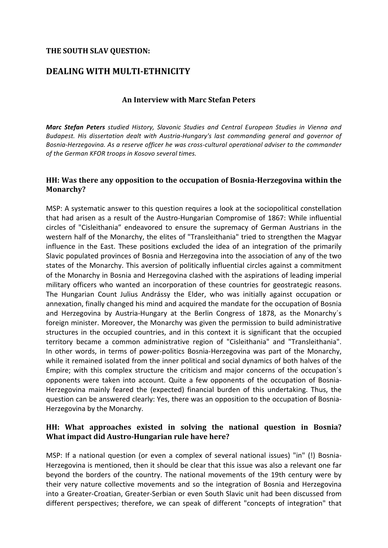## **THE SOUTH SLAV QUESTION:**

# **DEALING WITH MULTI-ETHNICITY**

## **An Interview with Marc Stefan Peters**

*Marc Stefan Peters studied History, Slavonic Studies and Central European Studies in Vienna and* Budapest. His dissertation dealt with Austria-Hungary's last commanding general and governor of Bosnia-Herzegovina. As a reserve officer he was cross-cultural operational adviser to the commander *of the German KFOR troops in Kosovo several times.*

#### **HH:** Was there any opposition to the occupation of Bosnia-Herzegovina within the **Monarchy?**

MSP: A systematic answer to this question requires a look at the sociopolitical constellation that had arisen as a result of the Austro-Hungarian Compromise of 1867: While influential circles of "Cisleithania" endeavored to ensure the supremacy of German Austrians in the western half of the Monarchy, the elites of "Transleithania" tried to strengthen the Magyar influence in the East. These positions excluded the idea of an integration of the primarily Slavic populated provinces of Bosnia and Herzegovina into the association of any of the two states of the Monarchy. This aversion of politically influential circles against a commitment of the Monarchy in Bosnia and Herzegovina clashed with the aspirations of leading imperial military officers who wanted an incorporation of these countries for geostrategic reasons. The Hungarian Count Julius Andrássy the Elder, who was initially against occupation or annexation, finally changed his mind and acquired the mandate for the occupation of Bosnia and Herzegovina by Austria-Hungary at the Berlin Congress of 1878, as the Monarchy's foreign minister. Moreover, the Monarchy was given the permission to build administrative structures in the occupied countries, and in this context it is significant that the occupied territory became a common administrative region of "Cisleithania" and "Transleithania". In other words, in terms of power-politics Bosnia-Herzegovina was part of the Monarchy, while it remained isolated from the inner political and social dynamics of both halves of the Empire; with this complex structure the criticism and major concerns of the occupation's opponents were taken into account. Quite a few opponents of the occupation of Bosnia-Herzegovina mainly feared the (expected) financial burden of this undertaking. Thus, the question can be answered clearly: Yes, there was an opposition to the occupation of Bosnia-Herzegovina by the Monarchy.

## HH: What approaches existed in solving the national question in Bosnia? **What impact did Austro-Hungarian rule have here?**

MSP: If a national question (or even a complex of several national issues) "in" (!) Bosnia-Herzegovina is mentioned, then it should be clear that this issue was also a relevant one far beyond the borders of the country. The national movements of the 19th century were by their very nature collective movements and so the integration of Bosnia and Herzegovina into a Greater-Croatian, Greater-Serbian or even South Slavic unit had been discussed from different perspectives; therefore, we can speak of different "concepts of integration" that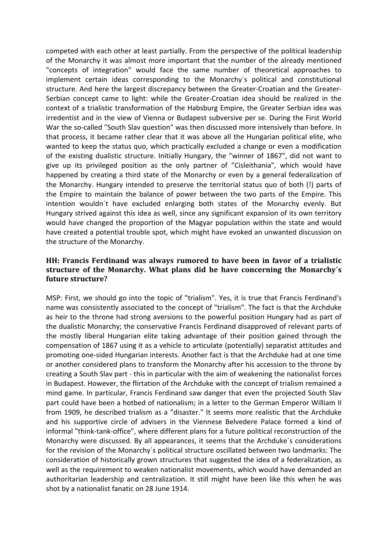competed with each other at least partially. From the perspective of the political leadership of the Monarchy it was almost more important that the number of the already mentioned "concepts of integration" would face the same number of theoretical approaches to implement certain ideas corresponding to the Monarchy's political and constitutional structure. And here the largest discrepancy between the Greater-Croatian and the Greater-Serbian concept came to light: while the Greater-Croatian idea should be realized in the context of a trialistic transformation of the Habsburg Empire, the Greater Serbian idea was irredentist and in the view of Vienna or Budapest subversive per se. During the First World War the so-called "South Slav question" was then discussed more intensively than before. In that process, it became rather clear that it was above all the Hungarian political elite, who wanted to keep the status quo, which practically excluded a change or even a modification of the existing dualistic structure. Initially Hungary, the "winner of 1867", did not want to give up its privileged position as the only partner of "Cisleithania", which would have happened by creating a third state of the Monarchy or even by a general federalization of the Monarchy. Hungary intended to preserve the territorial status quo of both (!) parts of the Empire to maintain the balance of power between the two parts of the Empire. This intention wouldn't have excluded enlarging both states of the Monarchy evenly. But Hungary strived against this idea as well, since any significant expansion of its own territory would have changed the proportion of the Magyar population within the state and would have created a potential trouble spot, which might have evoked an unwanted discussion on the structure of the Monarchy.

## **HH:** Francis Ferdinand was always rumored to have been in favor of a trialistic **structure** of the Monarchy. What plans did he have concerning the Monarchy's **future structure?**

MSP: First, we should go into the topic of "trialism". Yes, it is true that Francis Ferdinand's name was consistently associated to the concept of "trialism". The fact is that the Archduke as heir to the throne had strong aversions to the powerful position Hungary had as part of the dualistic Monarchy; the conservative Francis Ferdinand disapproved of relevant parts of the mostly liberal Hungarian elite taking advantage of their position gained through the compensation of 1867 using it as a vehicle to articulate (potentially) separatist attitudes and promoting one-sided Hungarian interests. Another fact is that the Archduke had at one time or another considered plans to transform the Monarchy after his accession to the throne by creating a South Slav part - this in particular with the aim of weakening the nationalist forces in Budapest. However, the flirtation of the Archduke with the concept of trialism remained a mind game. In particular, Francis Ferdinand saw danger that even the projected South Slav part could have been a hotbed of nationalism; in a letter to the German Emperor William II from 1909, he described trialism as a "disaster." It seems more realistic that the Archduke and his supportive circle of advisers in the Viennese Belvedere Palace formed a kind of informal "think-tank-office", where different plans for a future political reconstruction of the Monarchy were discussed. By all appearances, it seems that the Archduke's considerations for the revision of the Monarchy's political structure oscillated between two landmarks: The consideration of historically grown structures that suggested the idea of a federalization, as well as the requirement to weaken nationalist movements, which would have demanded an authoritarian leadership and centralization. It still might have been like this when he was shot by a nationalist fanatic on 28 June 1914.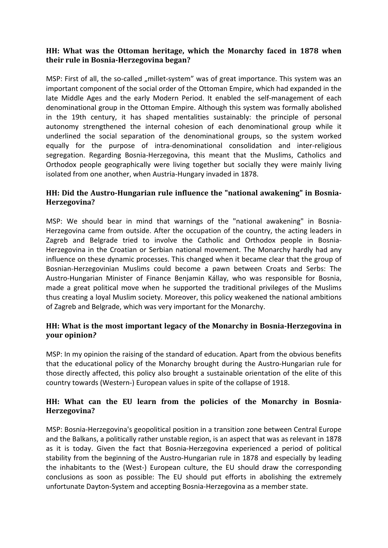## **HH:** What was the Ottoman heritage, which the Monarchy faced in 1878 when **their rule in Bosnia-Herzegovina began?**

MSP: First of all, the so-called "millet-system" was of great importance. This system was an important component of the social order of the Ottoman Empire, which had expanded in the late Middle Ages and the early Modern Period. It enabled the self-management of each denominational group in the Ottoman Empire. Although this system was formally abolished in the 19th century, it has shaped mentalities sustainably: the principle of personal autonomy strengthened the internal cohesion of each denominational group while it underlined the social separation of the denominational groups, so the system worked equally for the purpose of intra-denominational consolidation and inter-religious segregation. Regarding Bosnia-Herzegovina, this meant that the Muslims, Catholics and Orthodox people geographically were living together but socially they were mainly living isolated from one another, when Austria-Hungary invaded in 1878.

## HH: Did the Austro-Hungarian rule influence the "national awakening" in Bosnia-**Herzegovina?**

MSP: We should bear in mind that warnings of the "national awakening" in Bosnia-Herzegovina came from outside. After the occupation of the country, the acting leaders in Zagreb and Belgrade tried to involve the Catholic and Orthodox people in Bosnia-Herzegovina in the Croatian or Serbian national movement. The Monarchy hardly had any influence on these dynamic processes. This changed when it became clear that the group of Bosnian-Herzegovinian Muslims could become a pawn between Croats and Serbs: The Austro-Hungarian Minister of Finance Benjamin Kállay, who was responsible for Bosnia, made a great political move when he supported the traditional privileges of the Muslims thus creating a loyal Muslim society. Moreover, this policy weakened the national ambitions of Zagreb and Belgrade, which was very important for the Monarchy.

## **HH:** What is the most important legacy of the Monarchy in Bosnia-Herzegovina in **your opinion***?*

MSP: In my opinion the raising of the standard of education. Apart from the obvious benefits that the educational policy of the Monarchy brought during the Austro-Hungarian rule for those directly affected, this policy also brought a sustainable orientation of the elite of this country towards (Western-) European values in spite of the collapse of 1918.

## HH: What can the EU learn from the policies of the Monarchy in Bosnia-**Herzegovina?**

MSP: Bosnia-Herzegovina's geopolitical position in a transition zone between Central Europe and the Balkans, a politically rather unstable region, is an aspect that was as relevant in 1878 as it is today. Given the fact that Bosnia-Herzegovina experienced a period of political stability from the beginning of the Austro-Hungarian rule in 1878 and especially by leading the inhabitants to the (West-) European culture, the EU should draw the corresponding conclusions as soon as possible: The EU should put efforts in abolishing the extremely unfortunate Dayton-System and accepting Bosnia-Herzegovina as a member state.